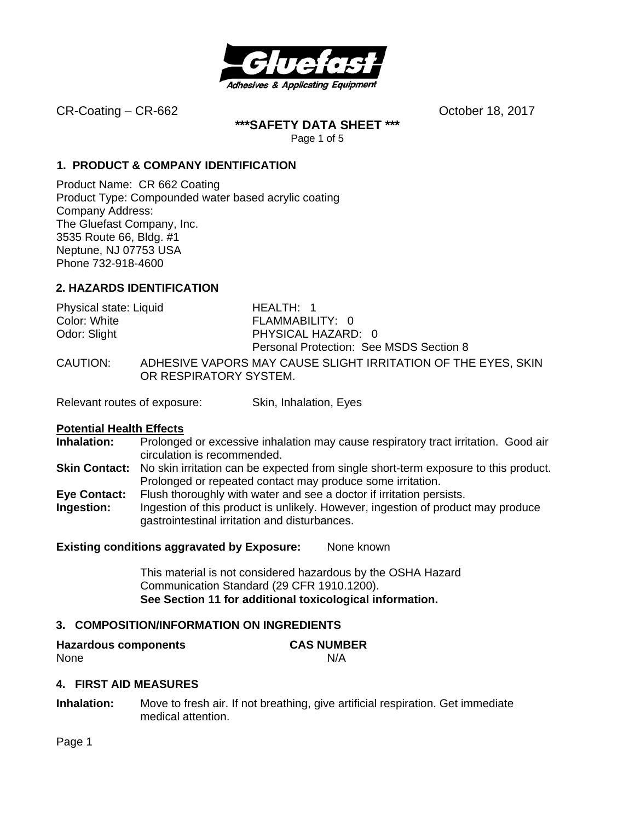

**\*\*\*SAFETY DATA SHEET \*\*\***  Page 1 of 5

**1. PRODUCT & COMPANY IDENTIFICATION**

Product Name: CR 662 Coating Product Type: Compounded water based acrylic coating Company Address: The Gluefast Company, Inc. 3535 Route 66, Bldg. #1 Neptune, NJ 07753 USA Phone 732-918-4600

# **2. HAZARDS IDENTIFICATION**

| Physical state: Liquid | HEALTH: 1                                                                               |
|------------------------|-----------------------------------------------------------------------------------------|
| Color: White           | FLAMMABILITY: 0                                                                         |
| Odor: Slight           | PHYSICAL HAZARD: 0                                                                      |
|                        | Personal Protection: See MSDS Section 8                                                 |
| CAUTION:               | ADHESIVE VAPORS MAY CAUSE SLIGHT IRRITATION OF THE EYES, SKIN<br>OR RESPIRATORY SYSTEM. |

Relevant routes of exposure: Skin, Inhalation, Eyes

### **Potential Health Effects**

- **Inhalation:** Prolonged or excessive inhalation may cause respiratory tract irritation. Good air circulation is recommended.
- **Skin Contact:** No skin irritation can be expected from single short-term exposure to this product. Prolonged or repeated contact may produce some irritation.
- **Eye Contact:** Flush thoroughly with water and see a doctor if irritation persists.
- **Ingestion:** Ingestion of this product is unlikely. However, ingestion of product may produce gastrointestinal irritation and disturbances.

### **Existing conditions aggravated by Exposure:** None known

This material is not considered hazardous by the OSHA Hazard Communication Standard (29 CFR 1910.1200). **See Section 11 for additional toxicological information.** 

### **3. COMPOSITION/INFORMATION ON INGREDIENTS**

| <b>Hazardous components</b> | <b>CAS NUMBER</b> |
|-----------------------------|-------------------|
| None                        | N/A               |

### **4. FIRST AID MEASURES**

**Inhalation:** Move to fresh air. If not breathing, give artificial respiration. Get immediate medical attention.

Page 1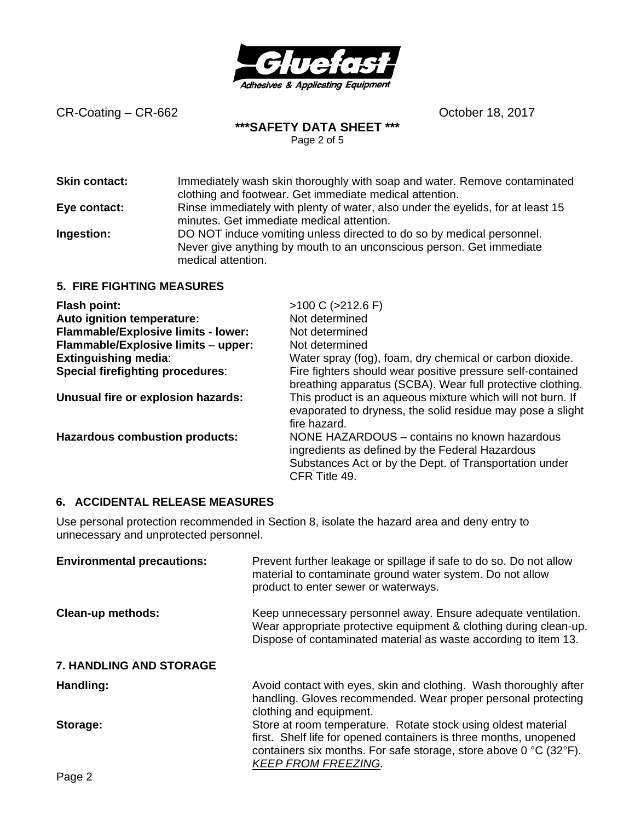

# **\*\*\*SAFETY DATA SHEET \*\*\***

Page 2 of 5

| <b>Skin contact:</b>             | Immediately wash skin thoroughly with soap and water. Remove contaminated<br>clothing and footwear. Get immediate medical attention.                                |
|----------------------------------|---------------------------------------------------------------------------------------------------------------------------------------------------------------------|
| Eye contact:                     | Rinse immediately with plenty of water, also under the eyelids, for at least 15<br>minutes. Get immediate medical attention.                                        |
| Ingestion:                       | DO NOT induce vomiting unless directed to do so by medical personnel.<br>Never give anything by mouth to an unconscious person. Get immediate<br>medical attention. |
| <b>5. FIRE FIGHTING MEASURES</b> |                                                                                                                                                                     |
|                                  |                                                                                                                                                                     |

| <b>Flash point:</b>                     | $>100$ C ( $>212.6$ F)                                                                                                                                                     |
|-----------------------------------------|----------------------------------------------------------------------------------------------------------------------------------------------------------------------------|
| Auto ignition temperature:              | Not determined                                                                                                                                                             |
| Flammable/Explosive limits - lower:     | Not determined                                                                                                                                                             |
| Flammable/Explosive limits - upper:     | Not determined                                                                                                                                                             |
| <b>Extinguishing media:</b>             | Water spray (fog), foam, dry chemical or carbon dioxide.                                                                                                                   |
| <b>Special firefighting procedures:</b> | Fire fighters should wear positive pressure self-contained<br>breathing apparatus (SCBA). Wear full protective clothing.                                                   |
| Unusual fire or explosion hazards:      | This product is an aqueous mixture which will not burn. If<br>evaporated to dryness, the solid residue may pose a slight<br>fire hazard.                                   |
| <b>Hazardous combustion products:</b>   | NONE HAZARDOUS – contains no known hazardous<br>ingredients as defined by the Federal Hazardous<br>Substances Act or by the Dept. of Transportation under<br>CFR Title 49. |

### **6. ACCIDENTAL RELEASE MEASURES**

Use personal protection recommended in Section 8, isolate the hazard area and deny entry to unnecessary and unprotected personnel.

| <b>Environmental precautions:</b> | Prevent further leakage or spillage if safe to do so. Do not allow<br>material to contaminate ground water system. Do not allow<br>product to enter sewer or waterways.                                                               |
|-----------------------------------|---------------------------------------------------------------------------------------------------------------------------------------------------------------------------------------------------------------------------------------|
| <b>Clean-up methods:</b>          | Keep unnecessary personnel away. Ensure adequate ventilation.<br>Wear appropriate protective equipment & clothing during clean-up.<br>Dispose of contaminated material as waste according to item 13.                                 |
| 7. HANDLING AND STORAGE           |                                                                                                                                                                                                                                       |
| Handling:                         | Avoid contact with eyes, skin and clothing. Wash thoroughly after<br>handling. Gloves recommended. Wear proper personal protecting<br>clothing and equipment.                                                                         |
| Storage:                          | Store at room temperature. Rotate stock using oldest material<br>first. Shelf life for opened containers is three months, unopened<br>containers six months. For safe storage, store above 0 °C (32°F).<br><b>KEEP FROM FREEZING.</b> |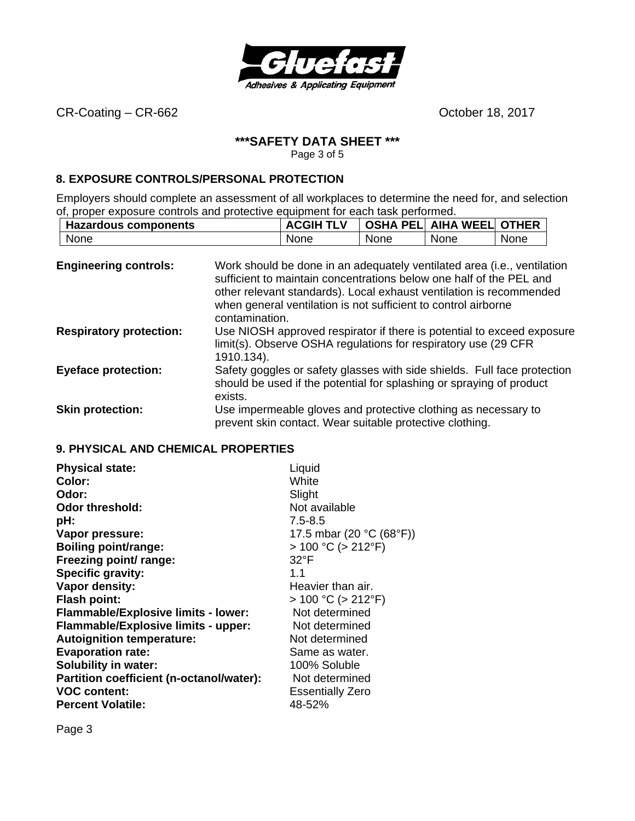

# **\*\*\*SAFETY DATA SHEET \*\*\***

Page 3 of 5

### **8.EXPOSURE CONTROLS/PERSONAL PROTECTION**

Employers should complete an assessment of all workplaces to determine the need for, and selection of, proper exposure controls and protective equipment for each task performed.

|      | <b>Hazardous components</b> |      | <b>ACGIH TLV</b> |      | <b>OSHA PEL AIHA WEEL OTHER</b> |      |
|------|-----------------------------|------|------------------|------|---------------------------------|------|
| None |                             | None |                  | None | None                            | None |

| <b>Engineering controls:</b>   | Work should be done in an adequately ventilated area (i.e., ventilation<br>sufficient to maintain concentrations below one half of the PEL and<br>other relevant standards). Local exhaust ventilation is recommended<br>when general ventilation is not sufficient to control airborne<br>contamination. |
|--------------------------------|-----------------------------------------------------------------------------------------------------------------------------------------------------------------------------------------------------------------------------------------------------------------------------------------------------------|
| <b>Respiratory protection:</b> | Use NIOSH approved respirator if there is potential to exceed exposure<br>limit(s). Observe OSHA regulations for respiratory use (29 CFR<br>1910.134).                                                                                                                                                    |
| <b>Eyeface protection:</b>     | Safety goggles or safety glasses with side shields. Full face protection<br>should be used if the potential for splashing or spraying of product<br>exists.                                                                                                                                               |
| <b>Skin protection:</b>        | Use impermeable gloves and protective clothing as necessary to<br>prevent skin contact. Wear suitable protective clothing.                                                                                                                                                                                |

# **9.PHYSICAL AND CHEMICAL PROPERTIES**

| <b>Physical state:</b>                     | Liquid                    |
|--------------------------------------------|---------------------------|
| Color:                                     | White                     |
| Odor:                                      | Slight                    |
| <b>Odor threshold:</b>                     | Not available             |
| pH:                                        | $7.5 - 8.5$               |
| Vapor pressure:                            | 17.5 mbar (20 °C (68°F))  |
| <b>Boiling point/range:</b>                | $> 100 °C$ ( $> 212 °F$ ) |
| Freezing point/ range:                     | $32^{\circ}$ F            |
| Specific gravity:                          | 1.1                       |
| Vapor density:                             | Heavier than air.         |
| <b>Flash point:</b>                        | $> 100 °C$ ( $> 212 °F$ ) |
| <b>Flammable/Explosive limits - lower:</b> | Not determined            |
| <b>Flammable/Explosive limits - upper:</b> | Not determined            |
| <b>Autoignition temperature:</b>           | Not determined            |
| <b>Evaporation rate:</b>                   | Same as water.            |
| Solubility in water:                       | 100% Soluble              |
| Partition coefficient (n-octanol/water):   | Not determined            |
| <b>VOC content:</b>                        | <b>Essentially Zero</b>   |
| <b>Percent Volatile:</b>                   | 48-52%                    |

Page 3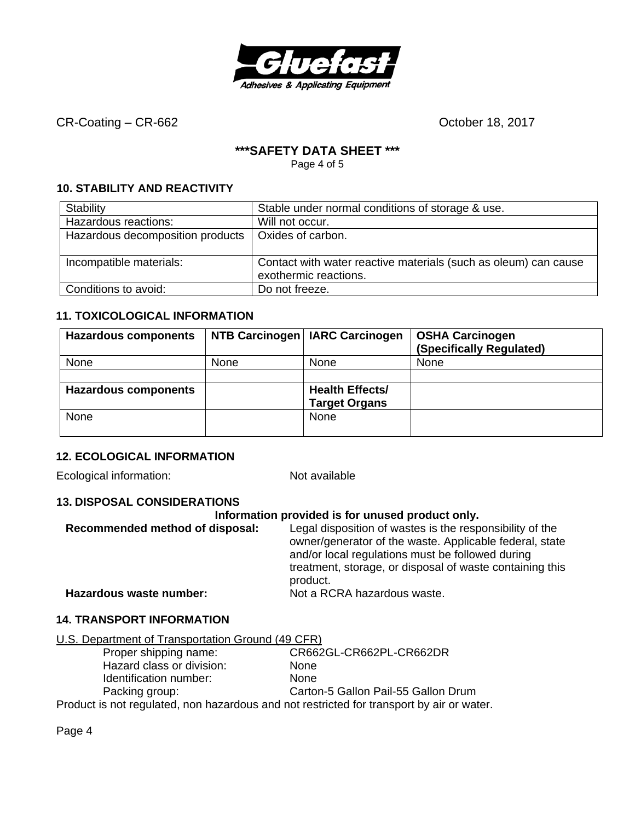

# **\*\*\*SAFETY DATA SHEET \*\*\***

Page 4 of 5

# **10. STABILITY AND REACTIVITY**

| Stability                        | Stable under normal conditions of storage & use.                                         |
|----------------------------------|------------------------------------------------------------------------------------------|
| Hazardous reactions:             | Will not occur.                                                                          |
| Hazardous decomposition products | Oxides of carbon.                                                                        |
|                                  |                                                                                          |
| Incompatible materials:          | Contact with water reactive materials (such as oleum) can cause<br>exothermic reactions. |
| Conditions to avoid:             | Do not freeze.                                                                           |

# **11. TOXICOLOGICAL INFORMATION**

| <b>Hazardous components</b> |      | NTB Carcinogen   IARC Carcinogen | <b>OSHA Carcinogen</b><br>(Specifically Regulated) |
|-----------------------------|------|----------------------------------|----------------------------------------------------|
| None                        | None | None                             | <b>None</b>                                        |
|                             |      |                                  |                                                    |
| <b>Hazardous components</b> |      | <b>Health Effects/</b>           |                                                    |
|                             |      | <b>Target Organs</b>             |                                                    |
| None                        |      | None                             |                                                    |
|                             |      |                                  |                                                    |

# **12. ECOLOGICAL INFORMATION**

Ecological information: Not available

### **13. DISPOSAL CONSIDERATIONS**

#### **Information provided is for unused product only.**

| Recommended method of disposal: | Legal disposition of wastes is the responsibility of the<br>owner/generator of the waste. Applicable federal, state<br>and/or local regulations must be followed during<br>treatment, storage, or disposal of waste containing this<br>product. |
|---------------------------------|-------------------------------------------------------------------------------------------------------------------------------------------------------------------------------------------------------------------------------------------------|
| Hazardous waste number:         | Not a RCRA hazardous waste.                                                                                                                                                                                                                     |

### **14. TRANSPORT INFORMATION**

|--|

| Proper shipping name:     | CR662GL-CR662PL-CR662DR                                                               |
|---------------------------|---------------------------------------------------------------------------------------|
| Hazard class or division: | <b>None</b>                                                                           |
| Identification number:    | <b>None</b>                                                                           |
| Packing group:            | Carton-5 Gallon Pail-55 Gallon Drum                                                   |
|                           | Deadupt is not required non bo-ordeus and not requisited for transport by or an extra |

Product is not regulated, non hazardous and not restricted for transport by air or water.

Page 4